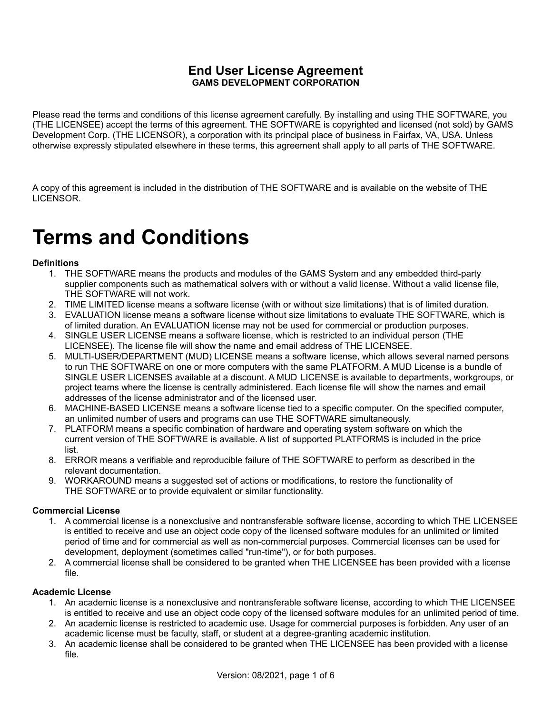Please read the terms and conditions of this license agreement carefully. By installing and using THE SOFTWARE, you (THE LICENSEE) accept the terms of this agreement. THE SOFTWARE is copyrighted and licensed (not sold) by GAMS Development Corp. (THE LICENSOR), a corporation with its principal place of business in Fairfax, VA, USA. Unless otherwise expressly stipulated elsewhere in these terms, this agreement shall apply to all parts of THE SOFTWARE.

A copy of this agreement is included in the distribution of THE SOFTWARE and is available on the website of THE LICENSOR.

# **Terms and Conditions**

## **Definitions**

- 1. THE SOFTWARE means the products and modules of the GAMS System and any embedded third-party supplier components such as mathematical solvers with or without a valid license. Without a valid license file, THE SOFTWARE will not work.
- 2. TIME LIMITED license means a software license (with or without size limitations) that is of limited duration.
- 3. EVALUATION license means a software license without size limitations to evaluate THE SOFTWARE, which is of limited duration. An EVALUATION license may not be used for commercial or production purposes.
- 4. SINGLE USER LICENSE means a software license, which is restricted to an individual person (THE LICENSEE). The license file will show the name and email address of THE LICENSEE.
- 5. MULTI-USER/DEPARTMENT (MUD) LICENSE means a software license, which allows several named persons to run THE SOFTWARE on one or more computers with the same PLATFORM. A MUD License is a bundle of SINGLE USER LICENSES available at a discount. A MUD LICENSE is available to departments, workgroups, or project teams where the license is centrally administered. Each license file will show the names and email addresses of the license administrator and of the licensed user.
- 6. MACHINE-BASED LICENSE means a software license tied to a specific computer. On the specified computer, an unlimited number of users and programs can use THE SOFTWARE simultaneously.
- 7. PLATFORM means a specific combination of hardware and operating system software on which the current version of THE SOFTWARE is available. A list of supported PLATFORMS is included in the price list.
- 8. ERROR means a verifiable and reproducible failure of THE SOFTWARE to perform as described in the relevant documentation.
- 9. WORKAROUND means a suggested set of actions or modifications, to restore the functionality of THE SOFTWARE or to provide equivalent or similar functionality.

## **Commercial License**

- 1. A commercial license is a nonexclusive and nontransferable software license, according to which THE LICENSEE is entitled to receive and use an object code copy of the licensed software modules for an unlimited or limited period of time and for commercial as well as non-commercial purposes. Commercial licenses can be used for development, deployment (sometimes called "run-time"), or for both purposes.
- 2. A commercial license shall be considered to be granted when THE LICENSEE has been provided with a license file.

#### **Academic License**

- 1. An academic license is a nonexclusive and nontransferable software license, according to which THE LICENSEE is entitled to receive and use an object code copy of the licensed software modules for an unlimited period of time.
- 2. An academic license is restricted to academic use. Usage for commercial purposes is forbidden. Any user of an academic license must be faculty, staff, or student at a degree-granting academic institution.
- 3. An academic license shall be considered to be granted when THE LICENSEE has been provided with a license file.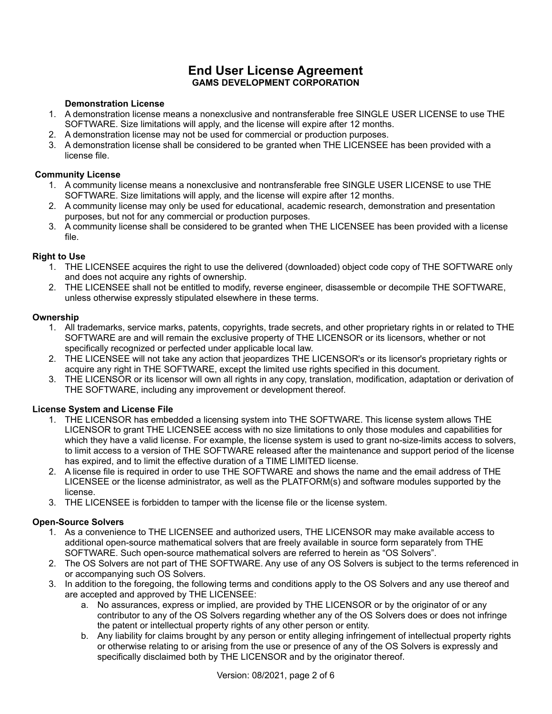# **Demonstration License**

- 1. A demonstration license means a nonexclusive and nontransferable free SINGLE USER LICENSE to use THE SOFTWARE. Size limitations will apply, and the license will expire after 12 months.
- 2. A demonstration license may not be used for commercial or production purposes.
- 3. A demonstration license shall be considered to be granted when THE LICENSEE has been provided with a license file.

#### **Community License**

- 1. A community license means a nonexclusive and nontransferable free SINGLE USER LICENSE to use THE SOFTWARE. Size limitations will apply, and the license will expire after 12 months.
- 2. A community license may only be used for educational, academic research, demonstration and presentation purposes, but not for any commercial or production purposes.
- 3. A community license shall be considered to be granted when THE LICENSEE has been provided with a license file.

## **Right to Use**

- 1. THE LICENSEE acquires the right to use the delivered (downloaded) object code copy of THE SOFTWARE only and does not acquire any rights of ownership.
- 2. THE LICENSEE shall not be entitled to modify, reverse engineer, disassemble or decompile THE SOFTWARE, unless otherwise expressly stipulated elsewhere in these terms.

#### **Ownership**

- 1. All trademarks, service marks, patents, copyrights, trade secrets, and other proprietary rights in or related to THE SOFTWARE are and will remain the exclusive property of THE LICENSOR or its licensors, whether or not specifically recognized or perfected under applicable local law.
- 2. THE LICENSEE will not take any action that jeopardizes THE LICENSOR's or its licensor's proprietary rights or acquire any right in THE SOFTWARE, except the limited use rights specified in this document.
- 3. THE LICENSOR or its licensor will own all rights in any copy, translation, modification, adaptation or derivation of THE SOFTWARE, including any improvement or development thereof.

## **License System and License File**

- 1. THE LICENSOR has embedded a licensing system into THE SOFTWARE. This license system allows THE LICENSOR to grant THE LICENSEE access with no size limitations to only those modules and capabilities for which they have a valid license. For example, the license system is used to grant no-size-limits access to solvers, to limit access to a version of THE SOFTWARE released after the maintenance and support period of the license has expired, and to limit the effective duration of a TIME LIMITED license.
- 2. A license file is required in order to use THE SOFTWARE and shows the name and the email address of THE LICENSEE or the license administrator, as well as the PLATFORM(s) and software modules supported by the license.
- 3. THE LICENSEE is forbidden to tamper with the license file or the license system.

## **Open-Source Solvers**

- 1. As a convenience to THE LICENSEE and authorized users, THE LICENSOR may make available access to additional open-source mathematical solvers that are freely available in source form separately from THE SOFTWARE. Such open-source mathematical solvers are referred to herein as "OS Solvers".
- 2. The OS Solvers are not part of THE SOFTWARE. Any use of any OS Solvers is subject to the terms referenced in or accompanying such OS Solvers.
- 3. In addition to the foregoing, the following terms and conditions apply to the OS Solvers and any use thereof and are accepted and approved by THE LICENSEE:
	- a. No assurances, express or implied, are provided by THE LICENSOR or by the originator of or any contributor to any of the OS Solvers regarding whether any of the OS Solvers does or does not infringe the patent or intellectual property rights of any other person or entity.
	- b. Any liability for claims brought by any person or entity alleging infringement of intellectual property rights or otherwise relating to or arising from the use or presence of any of the OS Solvers is expressly and specifically disclaimed both by THE LICENSOR and by the originator thereof.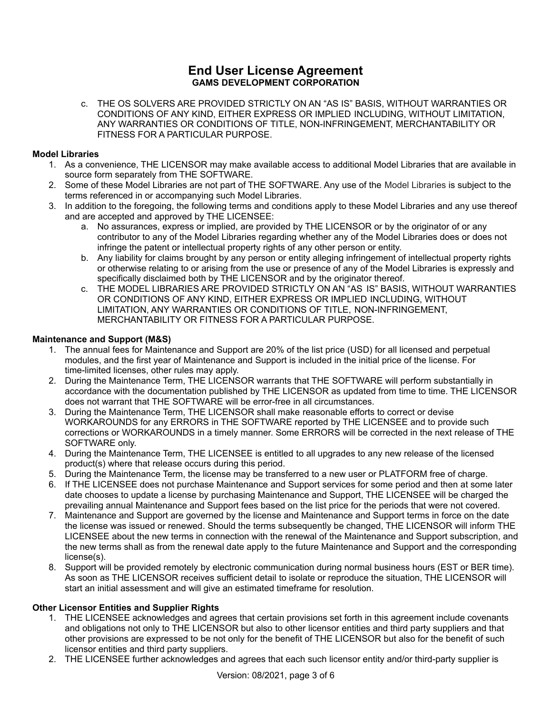c. THE OS SOLVERS ARE PROVIDED STRICTLY ON AN "AS IS" BASIS, WITHOUT WARRANTIES OR CONDITIONS OF ANY KIND, EITHER EXPRESS OR IMPLIED INCLUDING, WITHOUT LIMITATION, ANY WARRANTIES OR CONDITIONS OF TITLE, NON-INFRINGEMENT, MERCHANTABILITY OR FITNESS FOR A PARTICULAR PURPOSE.

# **Model Libraries**

- 1. As a convenience, THE LICENSOR may make available access to additional Model Libraries that are available in source form separately from THE SOFTWARE.
- 2. Some of these Model Libraries are not part of THE SOFTWARE. Any use of the Model Libraries is subject to the terms referenced in or accompanying such Model Libraries.
- 3. In addition to the foregoing, the following terms and conditions apply to these Model Libraries and any use thereof and are accepted and approved by THE LICENSEE:
	- a. No assurances, express or implied, are provided by THE LICENSOR or by the originator of or any contributor to any of the Model Libraries regarding whether any of the Model Libraries does or does not infringe the patent or intellectual property rights of any other person or entity.
	- b. Any liability for claims brought by any person or entity alleging infringement of intellectual property rights or otherwise relating to or arising from the use or presence of any of the Model Libraries is expressly and specifically disclaimed both by THE LICENSOR and by the originator thereof.
	- c. THE MODEL LIBRARIES ARE PROVIDED STRICTLY ON AN "AS IS" BASIS, WITHOUT WARRANTIES OR CONDITIONS OF ANY KIND, EITHER EXPRESS OR IMPLIED INCLUDING, WITHOUT LIMITATION, ANY WARRANTIES OR CONDITIONS OF TITLE, NON-INFRINGEMENT, MERCHANTABILITY OR FITNESS FOR A PARTICULAR PURPOSE.

## **Maintenance and Support (M&S)**

- 1. The annual fees for Maintenance and Support are 20% of the list price (USD) for all licensed and perpetual modules, and the first year of Maintenance and Support is included in the initial price of the license. For time-limited licenses, other rules may apply.
- 2. During the Maintenance Term, THE LICENSOR warrants that THE SOFTWARE will perform substantially in accordance with the documentation published by THE LICENSOR as updated from time to time. THE LICENSOR does not warrant that THE SOFTWARE will be error-free in all circumstances.
- 3. During the Maintenance Term, THE LICENSOR shall make reasonable efforts to correct or devise WORKAROUNDS for any ERRORS in THE SOFTWARE reported by THE LICENSEE and to provide such corrections or WORKAROUNDS in a timely manner. Some ERRORS will be corrected in the next release of THE SOFTWARE only.
- 4. During the Maintenance Term, THE LICENSEE is entitled to all upgrades to any new release of the licensed product(s) where that release occurs during this period.
- 5. During the Maintenance Term, the license may be transferred to a new user or PLATFORM free of charge.
- 6. If THE LICENSEE does not purchase Maintenance and Support services for some period and then at some later date chooses to update a license by purchasing Maintenance and Support, THE LICENSEE will be charged the prevailing annual Maintenance and Support fees based on the list price for the periods that were not covered.
- 7. Maintenance and Support are governed by the license and Maintenance and Support terms in force on the date the license was issued or renewed. Should the terms subsequently be changed, THE LICENSOR will inform THE LICENSEE about the new terms in connection with the renewal of the Maintenance and Support subscription, and the new terms shall as from the renewal date apply to the future Maintenance and Support and the corresponding license(s).
- 8. Support will be provided remotely by electronic communication during normal business hours (EST or BER time). As soon as THE LICENSOR receives sufficient detail to isolate or reproduce the situation, THE LICENSOR will start an initial assessment and will give an estimated timeframe for resolution.

## **Other Licensor Entities and Supplier Rights**

- 1. THE LICENSEE acknowledges and agrees that certain provisions set forth in this agreement include covenants and obligations not only to THE LICENSOR but also to other licensor entities and third party suppliers and that other provisions are expressed to be not only for the benefit of THE LICENSOR but also for the benefit of such licensor entities and third party suppliers.
- 2. THE LICENSEE further acknowledges and agrees that each such licensor entity and/or third-party supplier is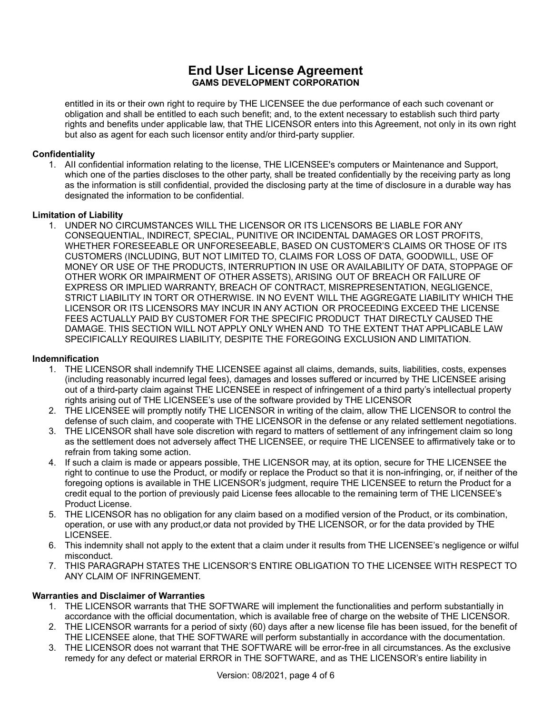entitled in its or their own right to require by THE LICENSEE the due performance of each such covenant or obligation and shall be entitled to each such benefit; and, to the extent necessary to establish such third party rights and benefits under applicable law, that THE LICENSOR enters into this Agreement, not only in its own right but also as agent for each such licensor entity and/or third-party supplier.

# **Confidentiality**

1. AII confidential information relating to the license, THE LICENSEE's computers or Maintenance and Support, which one of the parties discloses to the other party, shall be treated confidentially by the receiving party as long as the information is still confidential, provided the disclosing party at the time of disclosure in a durable way has designated the information to be confidential.

## **Limitation of Liability**

1. UNDER NO CIRCUMSTANCES WILL THE LICENSOR OR ITS LICENSORS BE LIABLE FOR ANY CONSEQUENTIAL, INDIRECT, SPECIAL, PUNITIVE OR INCIDENTAL DAMAGES OR LOST PROFITS, WHETHER FORESEEABLE OR UNFORESEEABLE, BASED ON CUSTOMER'S CLAIMS OR THOSE OF ITS CUSTOMERS (INCLUDING, BUT NOT LIMITED TO, CLAIMS FOR LOSS OF DATA, GOODWILL, USE OF MONEY OR USE OF THE PRODUCTS, INTERRUPTION IN USE OR AVAILABILITY OF DATA, STOPPAGE OF OTHER WORK OR IMPAIRMENT OF OTHER ASSETS), ARISING OUT OF BREACH OR FAILURE OF EXPRESS OR IMPLIED WARRANTY, BREACH OF CONTRACT, MISREPRESENTATION, NEGLIGENCE, STRICT LIABILITY IN TORT OR OTHERWISE. IN NO EVENT WILL THE AGGREGATE LIABILITY WHICH THE LICENSOR OR ITS LICENSORS MAY INCUR IN ANY ACTION OR PROCEEDING EXCEED THE LICENSE FEES ACTUALLY PAID BY CUSTOMER FOR THE SPECIFIC PRODUCT THAT DIRECTLY CAUSED THE DAMAGE. THIS SECTION WILL NOT APPLY ONLY WHEN AND TO THE EXTENT THAT APPLICABLE LAW SPECIFICALLY REQUIRES LIABILITY, DESPITE THE FOREGOING EXCLUSION AND LIMITATION.

## **Indemnification**

- 1. THE LICENSOR shall indemnify THE LICENSEE against all claims, demands, suits, liabilities, costs, expenses (including reasonably incurred legal fees), damages and losses suffered or incurred by THE LICENSEE arising out of a third-party claim against THE LICENSEE in respect of infringement of a third party's intellectual property rights arising out of THE LICENSEE's use of the software provided by THE LICENSOR
- 2. THE LICENSEE will promptly notify THE LICENSOR in writing of the claim, allow THE LICENSOR to control the defense of such claim, and cooperate with THE LICENSOR in the defense or any related settlement negotiations.
- 3. THE LICENSOR shall have sole discretion with regard to matters of settlement of any infringement claim so long as the settlement does not adversely affect THE LICENSEE, or require THE LICENSEE to affirmatively take or to refrain from taking some action.
- 4. If such a claim is made or appears possible, THE LICENSOR may, at its option, secure for THE LICENSEE the right to continue to use the Product, or modify or replace the Product so that it is non-infringing, or, if neither of the foregoing options is available in THE LICENSOR's judgment, require THE LICENSEE to return the Product for a credit equal to the portion of previously paid License fees allocable to the remaining term of THE LICENSEE's Product License.
- 5. THE LICENSOR has no obligation for any claim based on a modified version of the Product, or its combination, operation, or use with any product,or data not provided by THE LICENSOR, or for the data provided by THE LICENSEE.
- 6. This indemnity shall not apply to the extent that a claim under it results from THE LICENSEE's negligence or wilful misconduct.
- 7. THIS PARAGRAPH STATES THE LICENSOR'S ENTIRE OBLIGATION TO THE LICENSEE WITH RESPECT TO ANY CLAIM OF INFRINGEMENT.

## **Warranties and Disclaimer of Warranties**

- 1. THE LICENSOR warrants that THE SOFTWARE will implement the functionalities and perform substantially in accordance with the official documentation, which is available free of charge on the website of THE LICENSOR.
- 2. THE LICENSOR warrants for a period of sixty (60) days after a new license file has been issued, for the benefit of THE LICENSEE alone, that THE SOFTWARE will perform substantially in accordance with the documentation.
- 3. THE LICENSOR does not warrant that THE SOFTWARE will be error-free in all circumstances. As the exclusive remedy for any defect or material ERROR in THE SOFTWARE, and as THE LICENSOR's entire liability in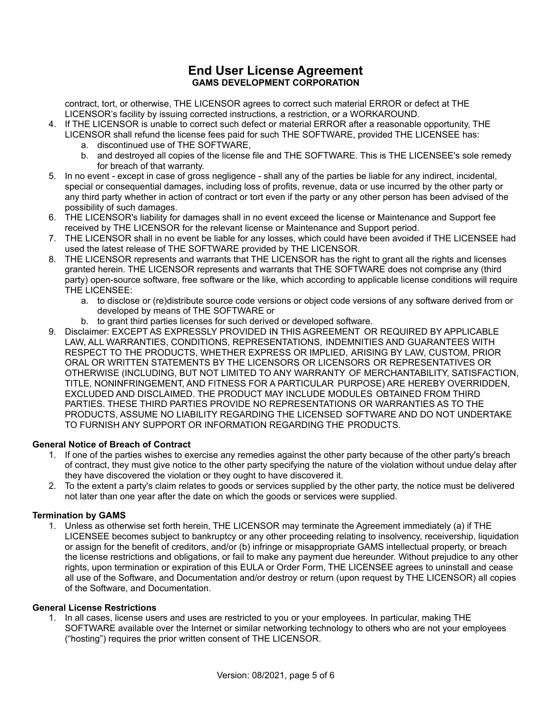contract, tort, or otherwise, THE LICENSOR agrees to correct such material ERROR or defect at THE LICENSOR's facility by issuing corrected instructions, a restriction, or a WORKAROUND.

- 4. If THE LICENSOR is unable to correct such defect or material ERROR after a reasonable opportunity, THE LICENSOR shall refund the license fees paid for such THE SOFTWARE, provided THE LICENSEE has:
	- a. discontinued use of THE SOFTWARE,
	- b. and destroyed all copies of the license file and THE SOFTWARE. This is THE LICENSEE's sole remedy for breach of that warranty.
- 5. In no event except in case of gross negligence shall any of the parties be liable for any indirect, incidental, special or consequential damages, including loss of profits, revenue, data or use incurred by the other party or any third party whether in action of contract or tort even if the party or any other person has been advised of the possibility of such damages.
- 6. THE LICENSOR's liability for damages shall in no event exceed the license or Maintenance and Support fee received by THE LICENSOR for the relevant license or Maintenance and Support period.
- 7. THE LICENSOR shall in no event be liable for any losses, which could have been avoided if THE LICENSEE had used the latest release of THE SOFTWARE provided by THE LICENSOR.
- 8. THE LICENSOR represents and warrants that THE LICENSOR has the right to grant all the rights and licenses granted herein. THE LICENSOR represents and warrants that THE SOFTWARE does not comprise any (third party) open-source software, free software or the like, which according to applicable license conditions will require THE LICENSEE:
	- a. to disclose or (re)distribute source code versions or object code versions of any software derived from or developed by means of THE SOFTWARE or
	- b. to grant third parties licenses for such derived or developed software.
- 9. Disclaimer: EXCEPT AS EXPRESSLY PROVIDED IN THIS AGREEMENT OR REQUIRED BY APPLICABLE LAW, ALL WARRANTIES, CONDITIONS, REPRESENTATIONS, INDEMNITIES AND GUARANTEES WITH RESPECT TO THE PRODUCTS, WHETHER EXPRESS OR IMPLIED, ARISING BY LAW, CUSTOM, PRIOR ORAL OR WRITTEN STATEMENTS BY THE LICENSORS OR LICENSORS OR REPRESENTATIVES OR OTHERWISE (INCLUDING, BUT NOT LIMITED TO ANY WARRANTY OF MERCHANTABILITY, SATISFACTION, TITLE, NONINFRINGEMENT, AND FITNESS FOR A PARTICULAR PURPOSE) ARE HEREBY OVERRIDDEN, EXCLUDED AND DISCLAIMED. THE PRODUCT MAY INCLUDE MODULES OBTAINED FROM THIRD PARTIES. THESE THIRD PARTIES PROVIDE NO REPRESENTATIONS OR WARRANTIES AS TO THE PRODUCTS, ASSUME NO LIABILITY REGARDING THE LICENSED SOFTWARE AND DO NOT UNDERTAKE TO FURNISH ANY SUPPORT OR INFORMATION REGARDING THE PRODUCTS.

## **General Notice of Breach of Contract**

- 1. If one of the parties wishes to exercise any remedies against the other party because of the other party's breach of contract, they must give notice to the other party specifying the nature of the violation without undue delay after they have discovered the violation or they ought to have discovered it.
- 2. To the extent a party's claim relates to goods or services supplied by the other party, the notice must be delivered not later than one year after the date on which the goods or services were supplied.

#### **Termination by GAMS**

1. Unless as otherwise set forth herein, THE LICENSOR may terminate the Agreement immediately (a) if THE LICENSEE becomes subject to bankruptcy or any other proceeding relating to insolvency, receivership, liquidation or assign for the benefit of creditors, and/or (b) infringe or misappropriate GAMS intellectual property, or breach the license restrictions and obligations, or fail to make any payment due hereunder. Without prejudice to any other rights, upon termination or expiration of this EULA or Order Form, THE LICENSEE agrees to uninstall and cease all use of the Software, and Documentation and/or destroy or return (upon request by THE LICENSOR) all copies of the Software, and Documentation.

#### **General License Restrictions**

1. In all cases, license users and uses are restricted to you or your employees. In particular, making THE SOFTWARE available over the Internet or similar networking technology to others who are not your employees ("hosting") requires the prior written consent of THE LICENSOR.